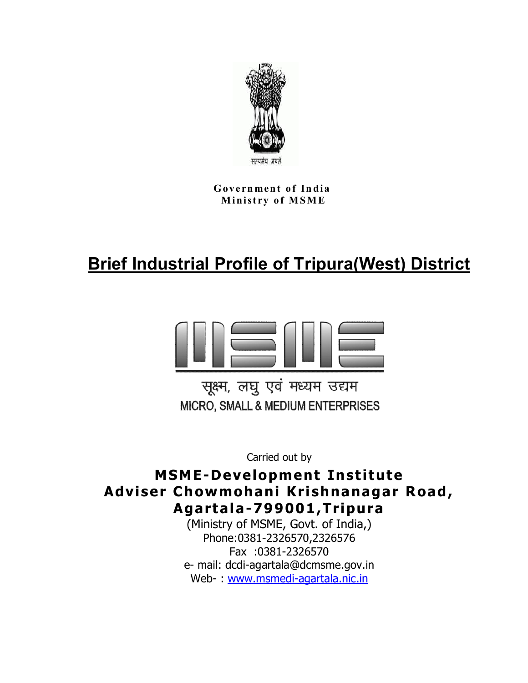

**Government of India M in ist ry o f M S M E**

# **Brief Industrial Profile of Tripura(West) District**



सूक्ष्म, लघु एवं मध्यम उद्यम MICRO, SMALL & MEDIUM ENTERPRISES

Carried out by

**MSME-Development Institute Adviser Chowmohani Krishnanagar Road, Agartala-799001,Tripura**

(Ministry of MSME, Govt. of India,) Phone:0381-2326570,2326576 Fax :0381-2326570 e- mail: dcdi-agartala@dcmsme.gov.in Web- www.msmedi-agartala.nic.in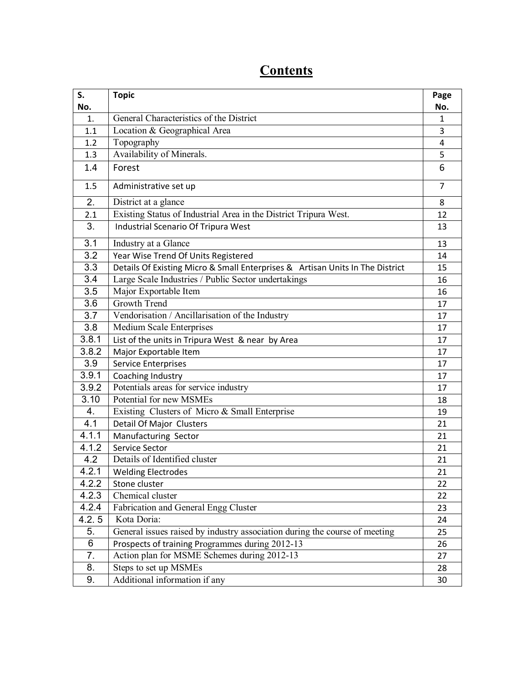| S.<br>No.        | <b>Topic</b>                                                                  | Page<br>No.  |
|------------------|-------------------------------------------------------------------------------|--------------|
| 1.               | General Characteristics of the District                                       | $\mathbf{1}$ |
| 1.1              | Location & Geographical Area                                                  | 3            |
| 1.2              | Topography                                                                    | 4            |
| 1.3              | Availability of Minerals.                                                     | 5            |
| 1.4              | Forest                                                                        | 6            |
| 1.5              | Administrative set up                                                         | 7            |
| 2.               | District at a glance                                                          | 8            |
| 2.1              | Existing Status of Industrial Area in the District Tripura West.              | 12           |
| 3.               | Industrial Scenario Of Tripura West                                           | 13           |
| 3.1              | Industry at a Glance                                                          | 13           |
| 3.2              | Year Wise Trend Of Units Registered                                           | 14           |
| 3.3              | Details Of Existing Micro & Small Enterprises & Artisan Units In The District | 15           |
| $\overline{3.4}$ | Large Scale Industries / Public Sector undertakings                           | 16           |
| 3.5              | Major Exportable Item                                                         | 16           |
| 3.6              | <b>Growth Trend</b>                                                           | 17           |
| 3.7              | Vendorisation / Ancillarisation of the Industry                               | 17           |
| $\overline{3.8}$ | <b>Medium Scale Enterprises</b>                                               | 17           |
| 3.8.1            | List of the units in Tripura West & near by Area                              | 17           |
| 3.8.2            | Major Exportable Item                                                         | 17           |
| 3.9              | <b>Service Enterprises</b>                                                    | 17           |
| 3.9.1            | Coaching Industry                                                             | 17           |
| 3.9.2            | Potentials areas for service industry                                         | 17           |
| 3.10             | Potential for new MSMEs                                                       | 18           |
| 4.               | Existing Clusters of Micro & Small Enterprise                                 | 19           |
| 4.1              | Detail Of Major Clusters                                                      | 21           |
| 4.1.1            | Manufacturing Sector                                                          | 21           |
| 4.1.2            | Service Sector                                                                | 21           |
| 4.2              | Details of Identified cluster                                                 | 21           |
| 4.2.1            | <b>Welding Electrodes</b>                                                     | 21           |
| 4.2.2            | Stone cluster                                                                 | 22           |
| 4.2.3            | Chemical cluster                                                              | 22           |
| 4.2.4            | Fabrication and General Engg Cluster                                          | 23           |
| 4.2.5            | Kota Doria:                                                                   | 24           |
| 5.               | General issues raised by industry association during the course of meeting    | 25           |
| 6                | Prospects of training Programmes during 2012-13                               | 26           |
| 7.               | Action plan for MSME Schemes during 2012-13                                   | 27           |
| 8.               | Steps to set up MSMEs                                                         | 28           |
| 9.               | Additional information if any                                                 | 30           |

# **Contents**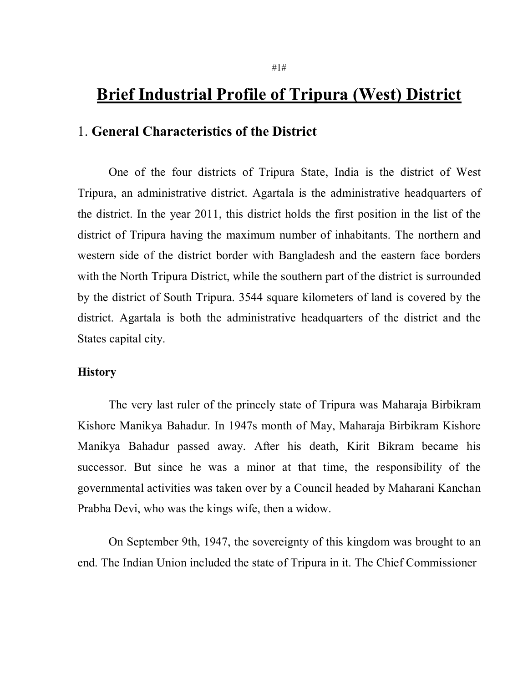# **Brief Industrial Profile of Tripura (West) District**

#### 1. **General Characteristics of the District**

One of the four districts of Tripura State, India is the district of West Tripura, an administrative district. Agartala is the administrative headquarters of the district. In the year 2011, this district holds the first position in the list of the district of Tripura having the maximum number of inhabitants. The northern and western side of the district border with Bangladesh and the eastern face borders with the North Tripura District, while the southern part of the district is surrounded by the district of South Tripura. 3544 square kilometers of land is covered by the district. Agartala is both the administrative headquarters of the district and the States capital city.

#### **History**

The very last ruler of the princely state of Tripura was Maharaja Birbikram Kishore Manikya Bahadur. In 1947s month of May, Maharaja Birbikram Kishore Manikya Bahadur passed away. After his death, Kirit Bikram became his successor. But since he was a minor at that time, the responsibility of the governmental activities was taken over by a Council headed by Maharani Kanchan Prabha Devi, who was the kings wife, then a widow.

On September 9th, 1947, the sovereignty of this kingdom was brought to an end. The Indian Union included the state of Tripura in it. The Chief Commissioner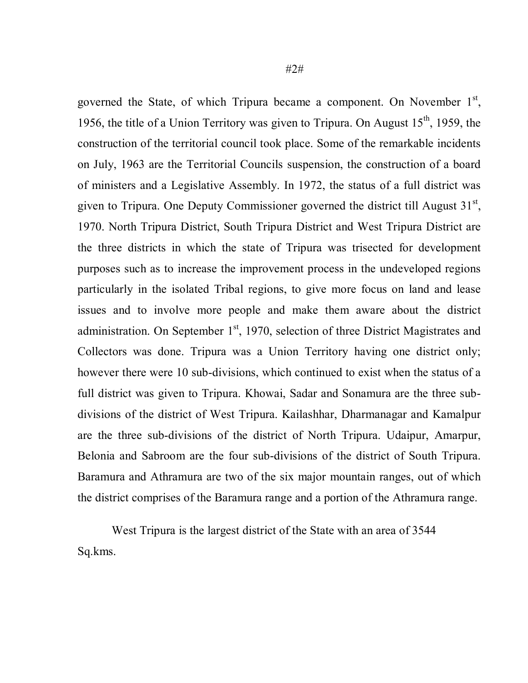governed the State, of which Tripura became a component. On November  $1<sup>st</sup>$ , 1956, the title of a Union Territory was given to Tripura. On August  $15<sup>th</sup>$ , 1959, the construction of the territorial council took place. Some of the remarkable incidents on July, 1963 are the Territorial Councils suspension, the construction of a board of ministers and a Legislative Assembly. In 1972, the status of a full district was given to Tripura. One Deputy Commissioner governed the district till August  $31<sup>st</sup>$ , 1970. North Tripura District, South Tripura District and West Tripura District are the three districts in which the state of Tripura was trisected for development purposes such as to increase the improvement process in the undeveloped regions particularly in the isolated Tribal regions, to give more focus on land and lease issues and to involve more people and make them aware about the district administration. On September  $1<sup>st</sup>$ , 1970, selection of three District Magistrates and Collectors was done. Tripura was a Union Territory having one district only; however there were 10 sub-divisions, which continued to exist when the status of a full district was given to Tripura. Khowai, Sadar and Sonamura are the three subdivisions of the district of West Tripura. Kailashhar, Dharmanagar and Kamalpur are the three sub-divisions of the district of North Tripura. Udaipur, Amarpur, Belonia and Sabroom are the four sub-divisions of the district of South Tripura. Baramura and Athramura are two of the six major mountain ranges, out of which the district comprises of the Baramura range and a portion of the Athramura range.

West Tripura is the largest district of the State with an area of 3544 Sq.kms.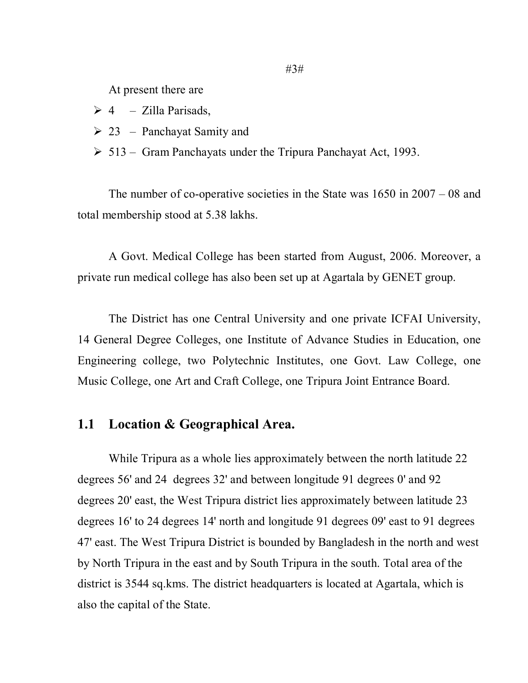At present there are

- $\triangleright$  4 Zilla Parisads,
- $\geq 23$  Panchayat Samity and
- $> 513$  Gram Panchayats under the Tripura Panchayat Act, 1993.

The number of co-operative societies in the State was 1650 in 2007 – 08 and total membership stood at 5.38 lakhs.

A Govt. Medical College has been started from August, 2006. Moreover, a private run medical college has also been set up at Agartala by GENET group.

The District has one Central University and one private ICFAI University, 14 General Degree Colleges, one Institute of Advance Studies in Education, one Engineering college, two Polytechnic Institutes, one Govt. Law College, one Music College, one Art and Craft College, one Tripura Joint Entrance Board.

#### **1.1 Location & Geographical Area.**

While Tripura as a whole lies approximately between the north latitude 22 degrees 56' and 24 degrees 32' and between longitude 91 degrees 0' and 92 degrees 20' east, the West Tripura district lies approximately between latitude 23 degrees 16' to 24 degrees 14' north and longitude 91 degrees 09' east to 91 degrees 47' east. The West Tripura District is bounded by Bangladesh in the north and west by North Tripura in the east and by South Tripura in the south. Total area of the district is 3544 sq.kms. The district headquarters is located at Agartala, which is also the capital of the State.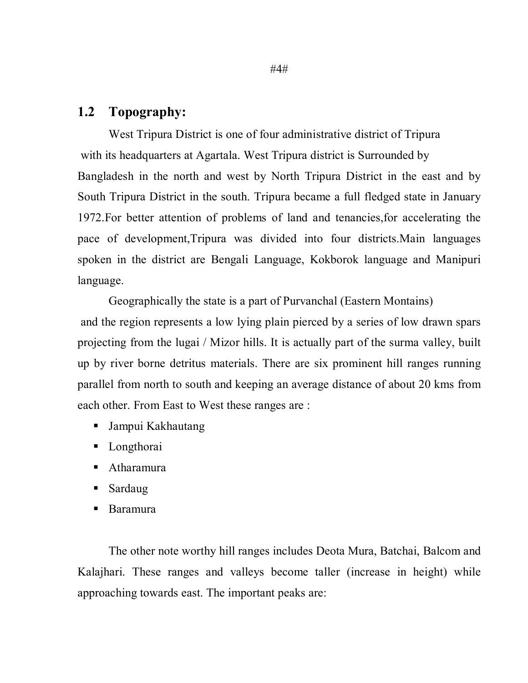#### **1.2 Topography:**

West Tripura District is one of four administrative district of Tripura with its headquarters at Agartala. West Tripura district is Surrounded by Bangladesh in the north and west by North Tripura District in the east and by South Tripura District in the south. Tripura became a full fledged state in January 1972.For better attention of problems of land and tenancies,for accelerating the pace of development,Tripura was divided into four districts.Main languages spoken in the district are Bengali Language, Kokborok language and Manipuri language.

Geographically the state is a part of Purvanchal (Eastern Montains)

and the region represents a low lying plain pierced by a series of low drawn spars projecting from the lugai / Mizor hills. It is actually part of the surma valley, built up by river borne detritus materials. There are six prominent hill ranges running parallel from north to south and keeping an average distance of about 20 kms from each other. From East to West these ranges are :

- Jampui Kakhautang
- Longthorai
- Atharamura
- **Sardaug**
- Baramura

The other note worthy hill ranges includes Deota Mura, Batchai, Balcom and Kalajhari. These ranges and valleys become taller (increase in height) while approaching towards east. The important peaks are: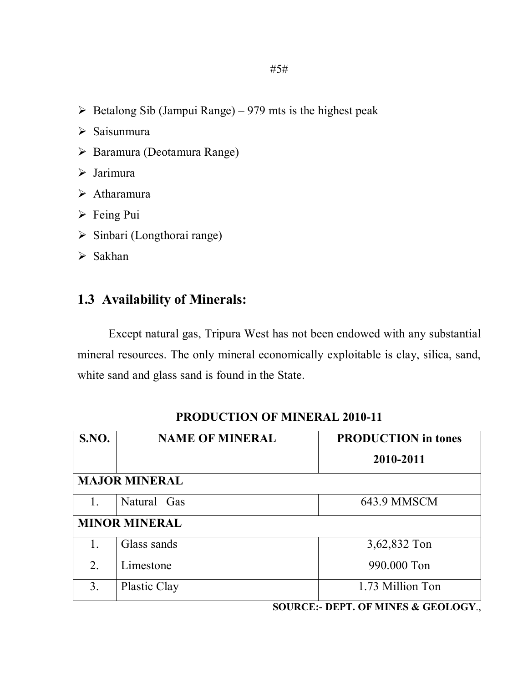- $\triangleright$  Betalong Sib (Jampui Range) 979 mts is the highest peak
- $\triangleright$  Saisunmura
- $\triangleright$  Baramura (Deotamura Range)
- Jarimura
- $\triangleright$  Atharamura
- $\triangleright$  Feing Pui
- $\triangleright$  Sinbari (Longthorai range)
- $\triangleright$  Sakhan

#### **1.3 Availability of Minerals:**

Except natural gas, Tripura West has not been endowed with any substantial mineral resources. The only mineral economically exploitable is clay, silica, sand, white sand and glass sand is found in the State.

| <b>S.NO.</b>         | <b>NAME OF MINERAL</b> | <b>PRODUCTION</b> in tones |  |  |  |
|----------------------|------------------------|----------------------------|--|--|--|
|                      |                        | 2010-2011                  |  |  |  |
|                      | <b>MAJOR MINERAL</b>   |                            |  |  |  |
| 1.                   | Natural Gas            | 643.9 MMSCM                |  |  |  |
| <b>MINOR MINERAL</b> |                        |                            |  |  |  |
| 1.                   | Glass sands            | 3,62,832 Ton               |  |  |  |
| 2.                   | Limestone              | 990.000 Ton                |  |  |  |
| 3.                   | Plastic Clay           | 1.73 Million Ton           |  |  |  |

#### **PRODUCTION OF MINERAL 2010-11**

**SOURCE:- DEPT. OF MINES & GEOLOGY**.,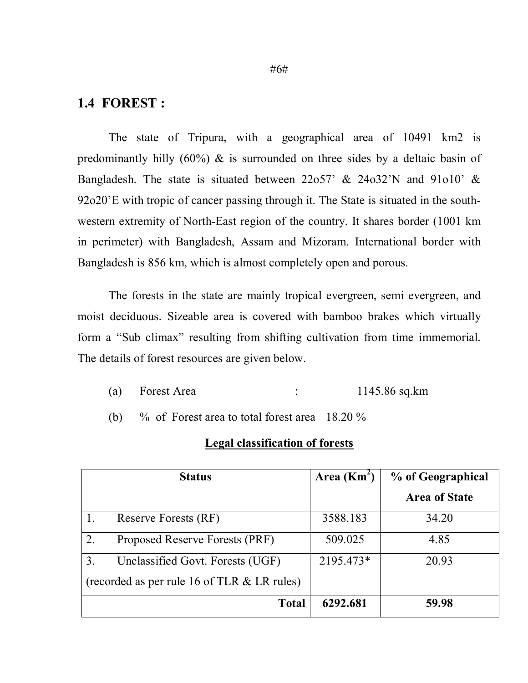#### **1.4 FOREST :**

The state of Tripura, with a geographical area of 10491 km2 is predominantly hilly  $(60\%)$  & is surrounded on three sides by a deltaic basin of Bangladesh. The state is situated between 22o57' & 24o32'N and 91o10' & 92o20'E with tropic of cancer passing through it. The State is situated in the southwestern extremity of North-East region of the country. It shares border (1001 km in perimeter) with Bangladesh, Assam and Mizoram. International border with Bangladesh is 856 km, which is almost completely open and porous.

The forests in the state are mainly tropical evergreen, semi evergreen, and moist deciduous. Sizeable area is covered with bamboo brakes which virtually form a "Sub climax" resulting from shifting cultivation from time immemorial. The details of forest resources are given below.

- (a) Forest Area : 1145.86 sq.km
- (b) % of Forest area to total forest area 18.20 %

#### **Legal classification of forests**

| <b>Status</b>                                 | Area $(Km^2)$ | % of Geographical    |
|-----------------------------------------------|---------------|----------------------|
|                                               |               | <b>Area of State</b> |
| Reserve Forests (RF)                          | 3588.183      | 34.20                |
| 2.<br>Proposed Reserve Forests (PRF)          | 509.025       | 4.85                 |
| 3.<br>Unclassified Govt. Forests (UGF)        | 2195.473*     | 20.93                |
| (recorded as per rule 16 of TLR $&$ LR rules) |               |                      |
| Total                                         | 6292.681      | 59.98                |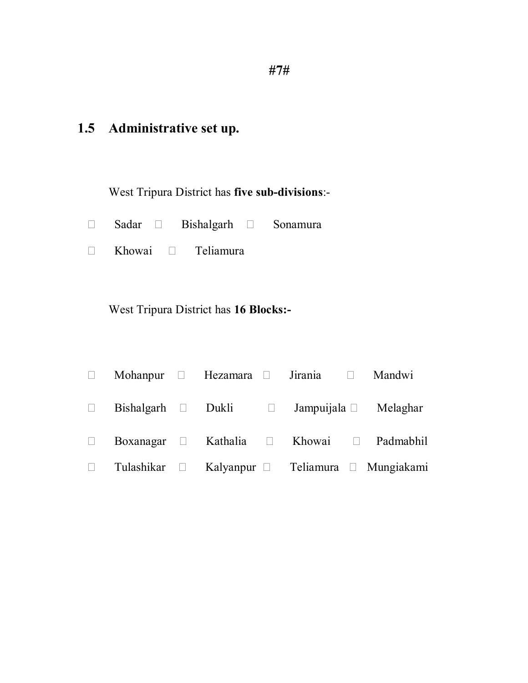# **1.5 Administrative set up.**

West Tripura District has **five sub-divisions**:-

- □ Sadar □ Bishalgarh □ Sonamura
- Khowai Teliamura

West Tripura District has **16 Blocks:-**

| Mohanpur $\Box$ Hezamara $\Box$ |  | Jirania <sup>[11]</sup> Mandwi |                                                          |
|---------------------------------|--|--------------------------------|----------------------------------------------------------|
| $Bishalgarh$ Dukli $\Box$       |  |                                | Jampuijala $\Box$ Melaghar                               |
|                                 |  |                                | Boxanagar $\Box$ Kathalia $\Box$ Khowai $\Box$ Padmabhil |
| Tulashikar $\square$            |  |                                | Kalyanpur $\Box$ Teliamura $\Box$ Mungiakami             |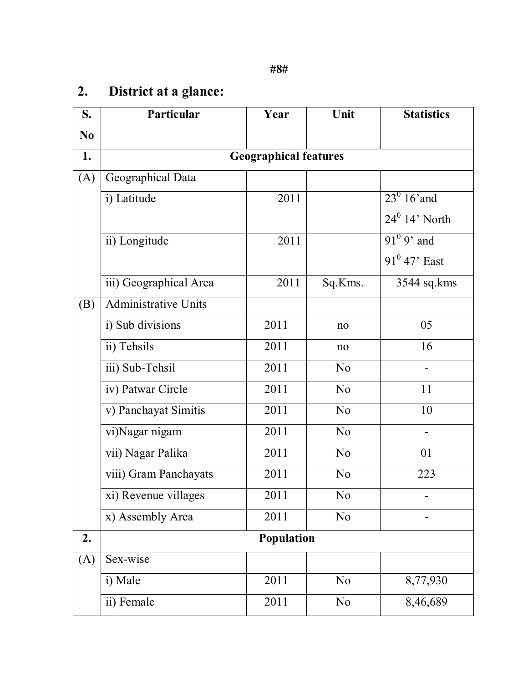# **2. District at a glance:**

| S.             | Particular                   | Year       | Unit           | <b>Statistics</b>   |  |  |  |  |
|----------------|------------------------------|------------|----------------|---------------------|--|--|--|--|
| N <sub>0</sub> |                              |            |                |                     |  |  |  |  |
| 1.             | <b>Geographical features</b> |            |                |                     |  |  |  |  |
| (A)            | Geographical Data            |            |                |                     |  |  |  |  |
|                | i) Latitude                  | 2011       |                | $23^0$ 16' and      |  |  |  |  |
|                |                              |            |                | $24^0$ 14' North    |  |  |  |  |
|                | ii) Longitude                | 2011       |                | $91^{\circ}$ 9' and |  |  |  |  |
|                |                              |            |                | $91^0$ 47' East     |  |  |  |  |
|                | iii) Geographical Area       | 2011       | Sq.Kms.        | 3544 sq.kms         |  |  |  |  |
| (B)            | <b>Administrative Units</b>  |            |                |                     |  |  |  |  |
|                | i) Sub divisions             | 2011       | no             | 05                  |  |  |  |  |
|                | ii) Tehsils                  | 2011       | no             | 16                  |  |  |  |  |
|                | iii) Sub-Tehsil              | 2011       | N <sub>0</sub> |                     |  |  |  |  |
|                | iv) Patwar Circle            | 2011       | N <sub>0</sub> | 11                  |  |  |  |  |
|                | v) Panchayat Simitis         | 2011       | N <sub>0</sub> | 10                  |  |  |  |  |
|                | vi)Nagar nigam               | 2011       | N <sub>0</sub> |                     |  |  |  |  |
|                | vii) Nagar Palika            | 2011       | N <sub>0</sub> | 01                  |  |  |  |  |
|                | viii) Gram Panchayats        | 2011       | N <sub>o</sub> | 223                 |  |  |  |  |
|                | xi) Revenue villages         | 2011       | N <sub>o</sub> |                     |  |  |  |  |
|                | x) Assembly Area             | 2011       | N <sub>0</sub> |                     |  |  |  |  |
| 2.             |                              | Population |                |                     |  |  |  |  |
| (A)            | Sex-wise                     |            |                |                     |  |  |  |  |
|                | i) Male                      | 2011       | N <sub>0</sub> | 8,77,930            |  |  |  |  |
|                | ii) Female                   | 2011       | N <sub>0</sub> | 8,46,689            |  |  |  |  |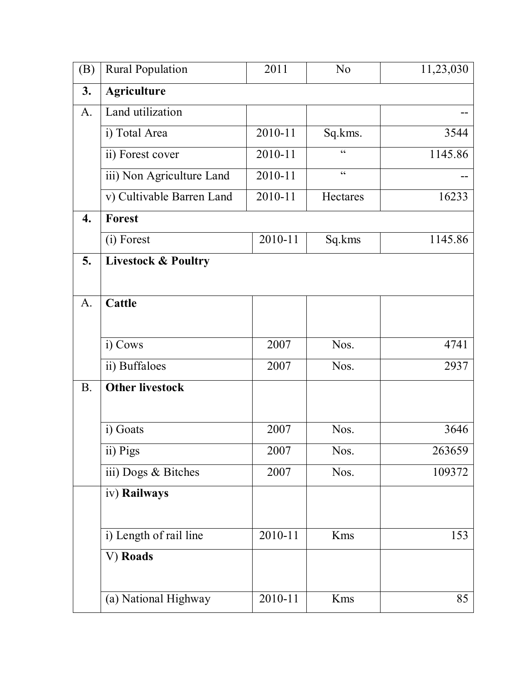| (B)              | <b>Rural Population</b>        | 2011    | N <sub>0</sub>                                    | 11,23,030 |
|------------------|--------------------------------|---------|---------------------------------------------------|-----------|
| 3.               | <b>Agriculture</b>             |         |                                                   |           |
| A.               | Land utilization               |         |                                                   |           |
|                  | i) Total Area                  | 2010-11 | Sq.kms.                                           | 3544      |
|                  | ii) Forest cover               | 2010-11 | $\epsilon$                                        | 1145.86   |
|                  | iii) Non Agriculture Land      | 2010-11 | $\boldsymbol{\varsigma}$ $\boldsymbol{\varsigma}$ |           |
|                  | v) Cultivable Barren Land      | 2010-11 | Hectares                                          | 16233     |
| $\overline{4}$ . | <b>Forest</b>                  |         |                                                   |           |
|                  | (i) Forest                     | 2010-11 | Sq.kms                                            | 1145.86   |
| 5.               | <b>Livestock &amp; Poultry</b> |         |                                                   |           |
|                  |                                |         |                                                   |           |
| A.               | <b>Cattle</b>                  |         |                                                   |           |
|                  |                                |         |                                                   |           |
|                  | i) Cows                        | 2007    | Nos.                                              | 4741      |
|                  | ii) Buffaloes                  | 2007    | Nos.                                              | 2937      |
| <b>B.</b>        | <b>Other livestock</b>         |         |                                                   |           |
|                  |                                |         |                                                   |           |
|                  | i) Goats                       | 2007    | Nos.                                              | 3646      |
|                  | $\overline{ii}$ ) Pigs         | 2007    | Nos.                                              | 263659    |
|                  | iii) Dogs & Bitches            | 2007    | Nos.                                              | 109372    |
|                  | iv) Railways                   |         |                                                   |           |
|                  |                                |         |                                                   |           |
|                  | i) Length of rail line         | 2010-11 | Kms                                               | 153       |
|                  | V) Roads                       |         |                                                   |           |
|                  |                                |         |                                                   |           |
|                  | (a) National Highway           | 2010-11 | Kms                                               | 85        |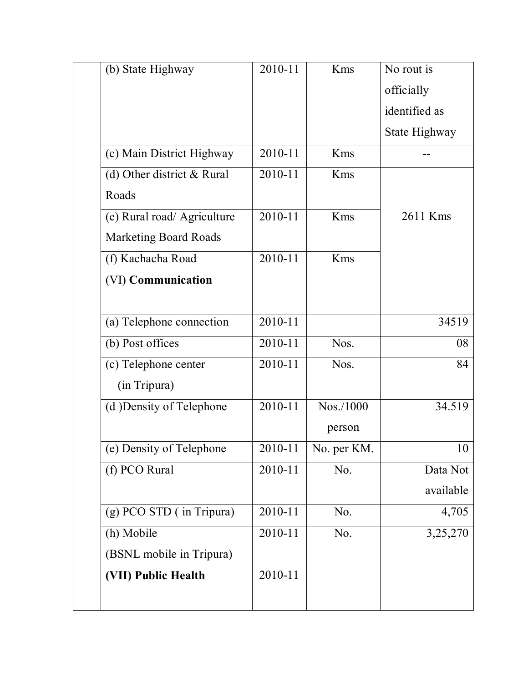| (b) State Highway            | 2010-11 | Kms         | No rout is    |
|------------------------------|---------|-------------|---------------|
|                              |         |             | officially    |
|                              |         |             | identified as |
|                              |         |             | State Highway |
| (c) Main District Highway    | 2010-11 | Kms         |               |
| (d) Other district & Rural   | 2010-11 | Kms         |               |
| Roads                        |         |             |               |
| (e) Rural road/ Agriculture  | 2010-11 | Kms         | 2611 Kms      |
| <b>Marketing Board Roads</b> |         |             |               |
| (f) Kachacha Road            | 2010-11 | Kms         |               |
| (VI) Communication           |         |             |               |
|                              |         |             |               |
| (a) Telephone connection     | 2010-11 |             | 34519         |
| (b) Post offices             | 2010-11 | Nos.        | 08            |
| (c) Telephone center         | 2010-11 | Nos.        | 84            |
| (in Tripura)                 |         |             |               |
| (d) Density of Telephone     | 2010-11 | Nos./1000   | 34.519        |
|                              |         | person      |               |
| (e) Density of Telephone     | 2010-11 | No. per KM. | 10            |
| (f) PCO Rural                | 2010-11 | No.         | Data Not      |
|                              |         |             | available     |
| (g) PCO STD (in Tripura)     | 2010-11 | No.         | 4,705         |
| (h) Mobile                   | 2010-11 | No.         | 3,25,270      |
| (BSNL mobile in Tripura)     |         |             |               |
| (VII) Public Health          | 2010-11 |             |               |
|                              |         |             |               |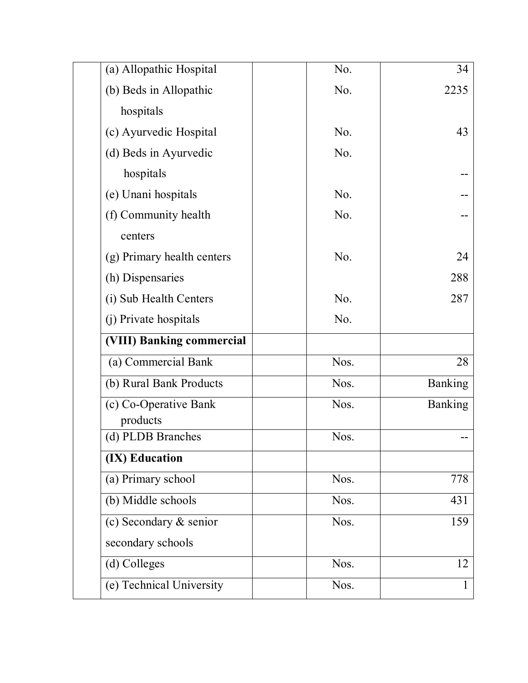| (a) Allopathic Hospital    | No.              | 34      |
|----------------------------|------------------|---------|
| (b) Beds in Allopathic     | No.              | 2235    |
| hospitals                  |                  |         |
| (c) Ayurvedic Hospital     | No.              | 43      |
| (d) Beds in Ayurvedic      | No.              |         |
| hospitals                  |                  |         |
| (e) Unani hospitals        | No.              |         |
| (f) Community health       | No.              |         |
| centers                    |                  |         |
| (g) Primary health centers | No.              | 24      |
| (h) Dispensaries           |                  | 288     |
| (i) Sub Health Centers     | N <sub>0</sub> . | 287     |
| (j) Private hospitals      | No.              |         |
| (VIII) Banking commercial  |                  |         |
| (a) Commercial Bank        | Nos.             | 28      |
| (b) Rural Bank Products    | Nos.             | Banking |
| (c) Co-Operative Bank      | Nos.             | Banking |
| products                   |                  |         |
| (d) PLDB Branches          | Nos.             |         |
| (IX) Education             |                  |         |
| (a) Primary school         | Nos.             | 778     |
| (b) Middle schools         | Nos.             | 431     |
| (c) Secondary $&$ senior   | Nos.             | 159     |
| secondary schools          |                  |         |
| (d) Colleges               | Nos.             | 12      |
| (e) Technical University   | Nos.             |         |
|                            |                  |         |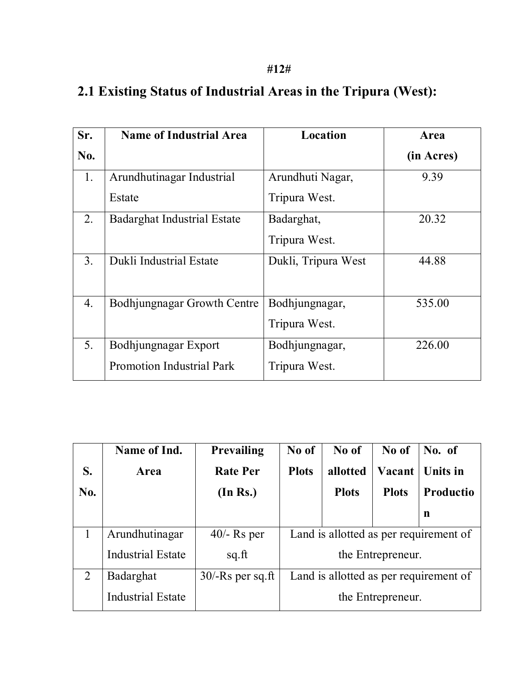| Sr.              | <b>Name of Industrial Area</b>     | Location            | Area       |
|------------------|------------------------------------|---------------------|------------|
| No.              |                                    |                     | (in Acres) |
| 1.               | Arundhutinagar Industrial          | Arundhuti Nagar,    | 9.39       |
|                  | Estate                             | Tripura West.       |            |
| 2.               | <b>Badarghat Industrial Estate</b> | Badarghat,          | 20.32      |
|                  |                                    | Tripura West.       |            |
| 3 <sub>1</sub>   | Dukli Industrial Estate            | Dukli, Tripura West | 44.88      |
|                  |                                    |                     |            |
| $\overline{4}$ . | Bodhjungnagar Growth Centre        | Bodhjungnagar,      | 535.00     |
|                  |                                    | Tripura West.       |            |
| 5.               | Bodhjungnagar Export               | Bodhjungnagar,      | 226.00     |
|                  | <b>Promotion Industrial Park</b>   | Tripura West.       |            |

# **2.1 Existing Status of Industrial Areas in the Tripura (West):**

|     | Name of Ind.             | Prevailing          | No of                                  | No of        | No of             | No. of           |
|-----|--------------------------|---------------------|----------------------------------------|--------------|-------------------|------------------|
| S.  | Area                     | <b>Rate Per</b>     | <b>Plots</b>                           | allotted     | Vacant            | <b>Units in</b>  |
| No. |                          | (In Rs.)            |                                        | <b>Plots</b> | <b>Plots</b>      | <b>Productio</b> |
|     |                          |                     |                                        |              |                   | n                |
|     | Arundhutinagar           | $40/-$ Rs per       | Land is allotted as per requirement of |              |                   |                  |
|     | <b>Industrial Estate</b> | sq.fit              |                                        |              | the Entrepreneur. |                  |
| 2   | Badarghat                | $30$ /-Rs per sq.ft | Land is allotted as per requirement of |              |                   |                  |
|     | <b>Industrial Estate</b> |                     | the Entrepreneur.                      |              |                   |                  |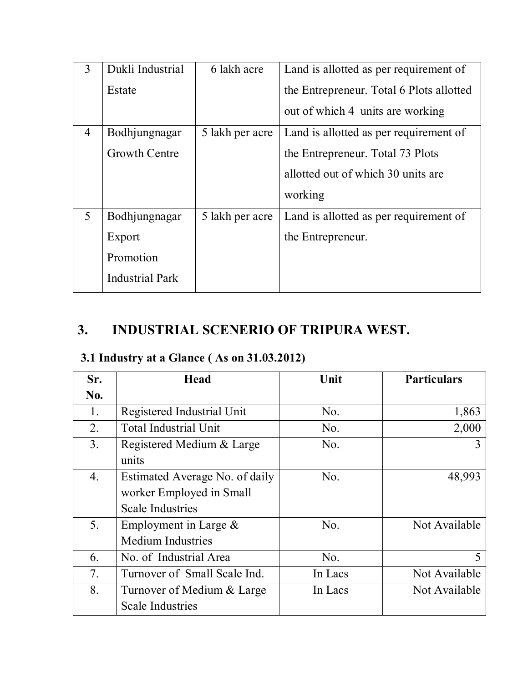| 3              | Dukli Industrial       | 6 lakh acre     | Land is allotted as per requirement of   |
|----------------|------------------------|-----------------|------------------------------------------|
|                | Estate                 |                 | the Entrepreneur. Total 6 Plots allotted |
|                |                        |                 | out of which 4 units are working         |
| $\overline{4}$ | Bodhjungnagar          | 5 lakh per acre | Land is allotted as per requirement of   |
|                | <b>Growth Centre</b>   |                 | the Entrepreneur. Total 73 Plots         |
|                |                        |                 | allotted out of which 30 units are       |
|                |                        |                 | working                                  |
| $\mathfrak{S}$ | Bodhjungnagar          | 5 lakh per acre | Land is allotted as per requirement of   |
|                | Export                 |                 | the Entrepreneur.                        |
|                | Promotion              |                 |                                          |
|                | <b>Industrial Park</b> |                 |                                          |

# **3. INDUSTRIAL SCENERIO OF TRIPURA WEST.**

## **3.1 Industry at a Glance ( As on 31.03.2012)**

| Sr.              | <b>Head</b>                    | Unit           | <b>Particulars</b> |
|------------------|--------------------------------|----------------|--------------------|
| No.              |                                |                |                    |
| 1.               | Registered Industrial Unit     | No.            | 1,863              |
| 2.               | <b>Total Industrial Unit</b>   | No.            | 2,000              |
| 3 <sub>1</sub>   | Registered Medium & Large      | No.            | 3                  |
|                  | units                          |                |                    |
| $\overline{4}$ . | Estimated Average No. of daily | N <sub>0</sub> | 48,993             |
|                  | worker Employed in Small       |                |                    |
|                  | <b>Scale Industries</b>        |                |                    |
| 5.               | Employment in Large $\&$       | N <sub>0</sub> | Not Available      |
|                  | <b>Medium Industries</b>       |                |                    |
| 6.               | No. of Industrial Area         | No.            | 5                  |
| 7.               | Turnover of Small Scale Ind.   | In Lacs        | Not Available      |
| 8.               | Turnover of Medium & Large     | In Lacs        | Not Available      |
|                  | <b>Scale Industries</b>        |                |                    |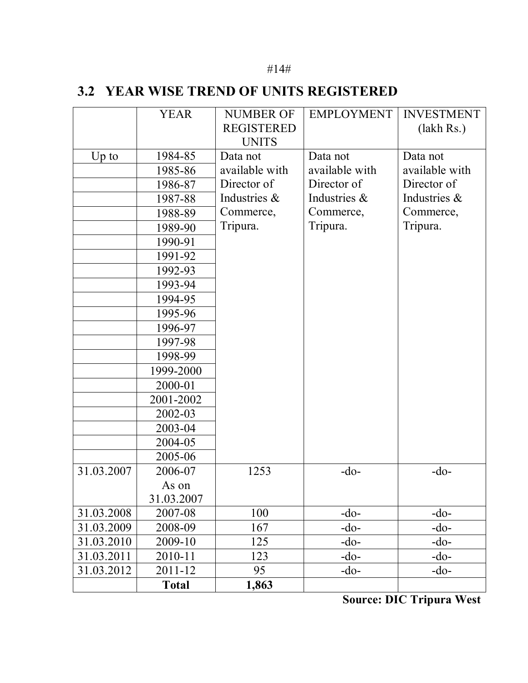#### #14#

#### **3.2 YEAR WISE TREND OF UNITS REGISTERED**

|            | <b>YEAR</b>  | <b>NUMBER OF</b>  | <b>EMPLOYMENT</b> | <b>INVESTMENT</b> |
|------------|--------------|-------------------|-------------------|-------------------|
|            |              | <b>REGISTERED</b> |                   | (lakh Rs.)        |
|            |              | <b>UNITS</b>      |                   |                   |
| $Up$ to    | 1984-85      | Data not          | Data not          | Data not          |
|            | 1985-86      | available with    | available with    | available with    |
|            | 1986-87      | Director of       | Director of       | Director of       |
|            | 1987-88      | Industries &      | Industries &      | Industries &      |
|            | 1988-89      | Commerce,         | Commerce,         | Commerce,         |
|            | 1989-90      | Tripura.          | Tripura.          | Tripura.          |
|            | 1990-91      |                   |                   |                   |
|            | 1991-92      |                   |                   |                   |
|            | 1992-93      |                   |                   |                   |
|            | 1993-94      |                   |                   |                   |
|            | 1994-95      |                   |                   |                   |
|            | 1995-96      |                   |                   |                   |
|            | 1996-97      |                   |                   |                   |
|            | 1997-98      |                   |                   |                   |
|            | 1998-99      |                   |                   |                   |
|            | 1999-2000    |                   |                   |                   |
|            | 2000-01      |                   |                   |                   |
|            | 2001-2002    |                   |                   |                   |
|            | 2002-03      |                   |                   |                   |
|            | 2003-04      |                   |                   |                   |
|            | 2004-05      |                   |                   |                   |
|            | 2005-06      |                   |                   |                   |
| 31.03.2007 | 2006-07      | 1253              | $-do-$            | $-do-$            |
|            | As on        |                   |                   |                   |
|            | 31.03.2007   |                   |                   |                   |
| 31.03.2008 | 2007-08      | 100               | $-do-$            | $-do-$            |
| 31.03.2009 | 2008-09      | 167               | -do-              | $-do-$            |
| 31.03.2010 | 2009-10      | 125               | $-do-$            | $-do-$            |
| 31.03.2011 | 2010-11      | 123               | -do-              | $-do-$            |
| 31.03.2012 | 2011-12      | 95                | $-do-$            | $-do-$            |
|            | <b>Total</b> | 1,863             |                   |                   |

**Source: DIC Tripura West**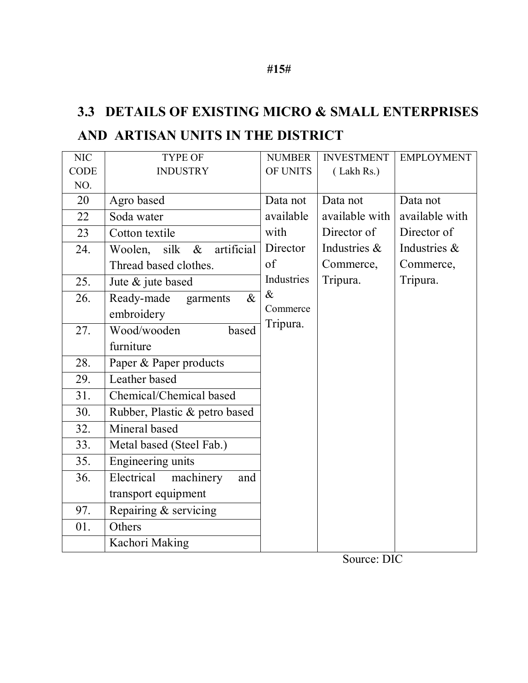# **3.3 DETAILS OF EXISTING MICRO & SMALL ENTERPRISES AND ARTISAN UNITS IN THE DISTRICT**

| <b>NIC</b> | <b>TYPE OF</b>                        | <b>NUMBER</b> | <b>INVESTMENT</b> | <b>EMPLOYMENT</b> |
|------------|---------------------------------------|---------------|-------------------|-------------------|
| CODE       | <b>INDUSTRY</b>                       | OF UNITS      | (Lakh Rs.)        |                   |
| NO.        |                                       |               |                   |                   |
| 20         | Agro based                            | Data not      | Data not          | Data not          |
| 22         | Soda water                            | available     | available with    | available with    |
| 23         | Cotton textile                        | with          | Director of       | Director of       |
| 24.        | Woolen,<br>silk<br>artificial<br>$\&$ | Director      | Industries &      | Industries &      |
|            | Thread based clothes.                 | of            | Commerce,         | Commerce,         |
| 25.        | Jute & jute based                     | Industries    | Tripura.          | Tripura.          |
| 26.        | Ready-made<br>$\&$<br>garments        | $\&$          |                   |                   |
|            | embroidery                            | Commerce      |                   |                   |
| 27.        | Wood/wooden<br>based                  | Tripura.      |                   |                   |
|            | furniture                             |               |                   |                   |
| 28.        | Paper & Paper products                |               |                   |                   |
| 29.        | Leather based                         |               |                   |                   |
| 31.        | Chemical/Chemical based               |               |                   |                   |
| 30.        | Rubber, Plastic & petro based         |               |                   |                   |
| 32.        | Mineral based                         |               |                   |                   |
| 33.        | Metal based (Steel Fab.)              |               |                   |                   |
| 35.        | Engineering units                     |               |                   |                   |
| 36.        | machinery<br>Electrical<br>and        |               |                   |                   |
|            | transport equipment                   |               |                   |                   |
| 97.        | Repairing & servicing                 |               |                   |                   |
| 01.        | Others                                |               |                   |                   |
|            | Kachori Making                        |               |                   |                   |

Source: DIC

#### **#15#**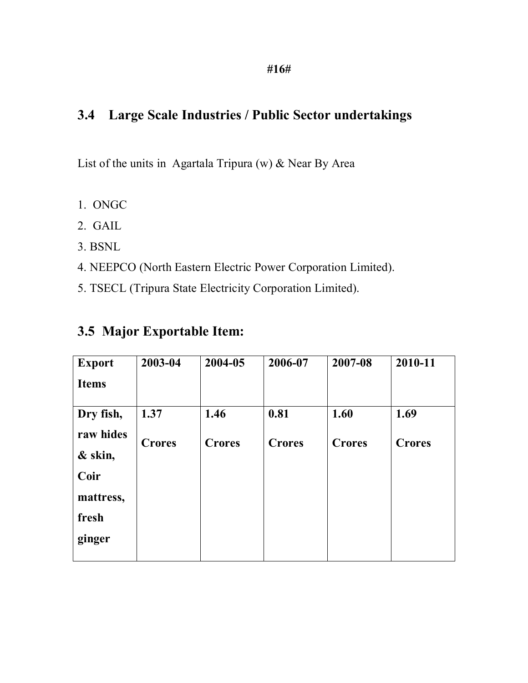## **3.4 Large Scale Industries / Public Sector undertakings**

List of the units in Agartala Tripura (w) & Near By Area

- 1. ONGC
- 2. GAIL
- 3. BSNL
- 4. NEEPCO (North Eastern Electric Power Corporation Limited).
- 5. TSECL (Tripura State Electricity Corporation Limited).

| <b>Export</b> | 2003-04       | 2004-05       | 2006-07       | 2007-08       | 2010-11       |
|---------------|---------------|---------------|---------------|---------------|---------------|
| <b>Items</b>  |               |               |               |               |               |
| Dry fish,     | 1.37          | 1.46          | 0.81          | 1.60          | 1.69          |
| raw hides     | <b>Crores</b> | <b>Crores</b> | <b>Crores</b> | <b>Crores</b> | <b>Crores</b> |
| & skin,       |               |               |               |               |               |
| Coir          |               |               |               |               |               |
| mattress,     |               |               |               |               |               |
| fresh         |               |               |               |               |               |
| ginger        |               |               |               |               |               |

### **3.5 Major Exportable Item:**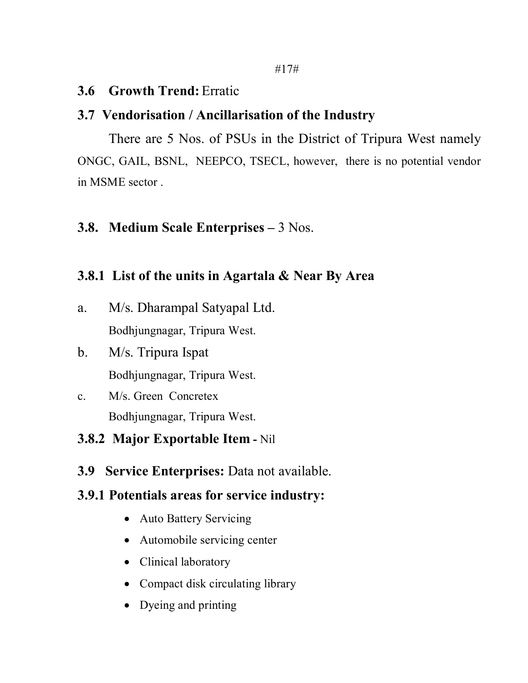#### **3.6 Growth Trend:** Erratic

#### **3.7 Vendorisation / Ancillarisation of the Industry**

There are 5 Nos. of PSUs in the District of Tripura West namely ONGC, GAIL, BSNL, NEEPCO, TSECL, however, there is no potential vendor in MSME sector .

#### **3.8. Medium Scale Enterprises –** 3 Nos.

### **3.8.1 List of the units in Agartala & Near By Area**

- a. M/s. Dharampal Satyapal Ltd. Bodhjungnagar, Tripura West.
- b. M/s. Tripura Ispat Bodhjungnagar, Tripura West.
- c. M/s. Green Concretex Bodhjungnagar, Tripura West.

## **3.8.2 Major Exportable Item -** Nil

**3.9 Service Enterprises:** Data not available.

#### **3.9.1 Potentials areas for service industry:**

- Auto Battery Servicing
- Automobile servicing center
- Clinical laboratory
- Compact disk circulating library
- Dyeing and printing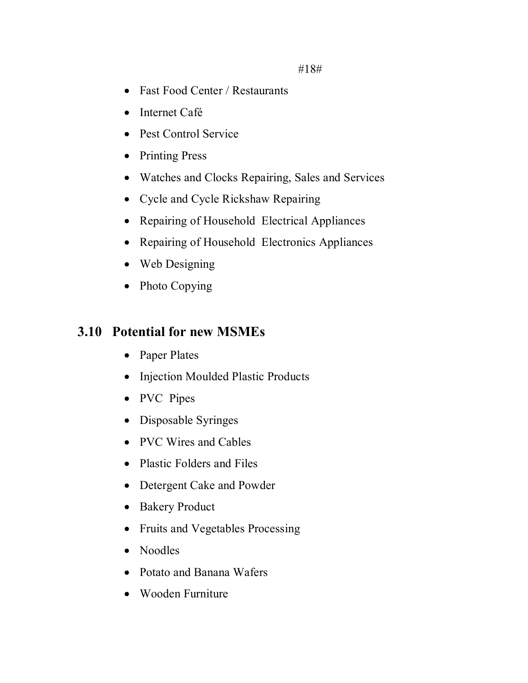- Fast Food Center / Restaurants
- Internet Café
- Pest Control Service
- Printing Press
- Watches and Clocks Repairing, Sales and Services
- Cycle and Cycle Rickshaw Repairing
- Repairing of Household Electrical Appliances
- Repairing of Household Electronics Appliances
- Web Designing
- Photo Copying

## **3.10 Potential for new MSMEs**

- Paper Plates
- Injection Moulded Plastic Products
- PVC Pipes
- Disposable Syringes
- PVC Wires and Cables
- Plastic Folders and Files
- Detergent Cake and Powder
- Bakery Product
- Fruits and Vegetables Processing
- Noodles
- Potato and Banana Wafers
- Wooden Furniture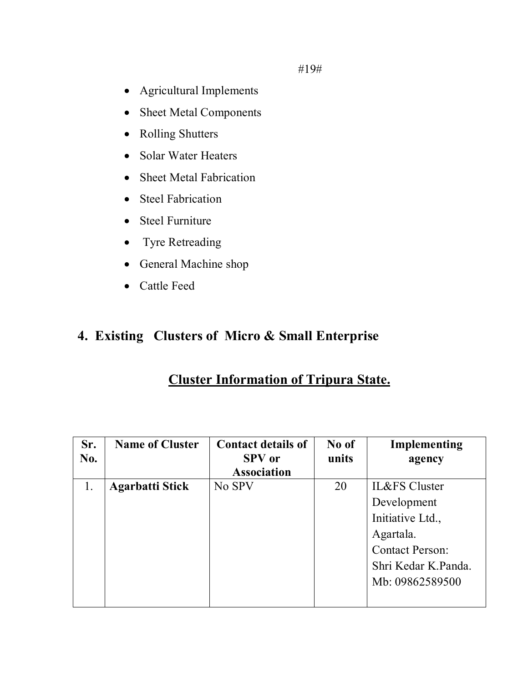#19#

- Agricultural Implements
- Sheet Metal Components
- Rolling Shutters
- Solar Water Heaters
- Sheet Metal Fabrication
- Steel Fabrication
- Steel Furniture
- Tyre Retreading
- General Machine shop
- Cattle Feed

## **4. Existing Clusters of Micro & Small Enterprise**

### **Cluster Information of Tripura State.**

| Sr.<br>No. | <b>Name of Cluster</b> | <b>Contact details of</b><br><b>SPV</b> or | No of<br>units | Implementing<br>agency   |
|------------|------------------------|--------------------------------------------|----------------|--------------------------|
|            |                        | <b>Association</b>                         |                |                          |
| 1.         | <b>Agarbatti Stick</b> | No SPV                                     | 20             | <b>IL&amp;FS</b> Cluster |
|            |                        |                                            |                | Development              |
|            |                        |                                            |                | Initiative Ltd.,         |
|            |                        |                                            |                | Agartala.                |
|            |                        |                                            |                | <b>Contact Person:</b>   |
|            |                        |                                            |                | Shri Kedar K.Panda.      |
|            |                        |                                            |                | Mb: 09862589500          |
|            |                        |                                            |                |                          |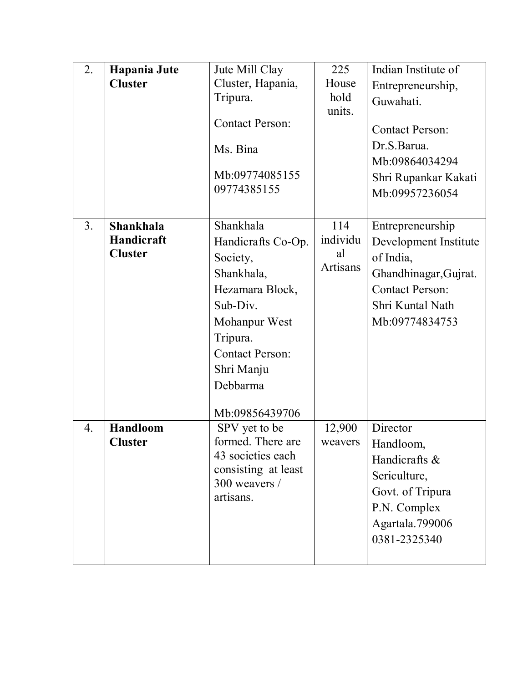| 2.               | Hapania Jute    | Jute Mill Clay                         | 225             | Indian Institute of    |
|------------------|-----------------|----------------------------------------|-----------------|------------------------|
|                  | <b>Cluster</b>  | Cluster, Hapania,                      | House           | Entrepreneurship,      |
|                  |                 | Tripura.                               | hold            | Guwahati.              |
|                  |                 |                                        | units.          |                        |
|                  |                 | <b>Contact Person:</b>                 |                 | <b>Contact Person:</b> |
|                  |                 | Ms. Bina                               |                 | Dr.S.Barua.            |
|                  |                 |                                        |                 | Mb:09864034294         |
|                  |                 | Mb:09774085155                         |                 | Shri Rupankar Kakati   |
|                  |                 | 09774385155                            |                 | Mb:09957236054         |
|                  |                 |                                        |                 |                        |
| 3 <sub>1</sub>   | Shankhala       | Shankhala                              | 114             | Entrepreneurship       |
|                  | Handicraft      | Handicrafts Co-Op.                     | individu        | Development Institute  |
|                  | <b>Cluster</b>  | Society,                               | al              | of India,              |
|                  |                 | Shankhala,                             | <b>Artisans</b> | Ghandhinagar, Gujrat.  |
|                  |                 | Hezamara Block,                        |                 | <b>Contact Person:</b> |
|                  |                 | Sub-Div.                               |                 | Shri Kuntal Nath       |
|                  |                 | Mohanpur West                          |                 | Mb:09774834753         |
|                  |                 | Tripura.                               |                 |                        |
|                  |                 | <b>Contact Person:</b>                 |                 |                        |
|                  |                 | Shri Manju                             |                 |                        |
|                  |                 | Debbarma                               |                 |                        |
|                  |                 |                                        |                 |                        |
|                  |                 | Mb:09856439706                         |                 |                        |
| $\overline{4}$ . | <b>Handloom</b> | SPV yet to be                          | 12,900          | Director               |
|                  | <b>Cluster</b>  | formed. There are<br>43 societies each | weavers         | Handloom,              |
|                  |                 | consisting at least                    |                 | Handicrafts &          |
|                  |                 | 300 weavers /                          |                 | Sericulture,           |
|                  |                 | artisans.                              |                 | Govt. of Tripura       |
|                  |                 |                                        |                 | P.N. Complex           |
|                  |                 |                                        |                 | Agartala.799006        |
|                  |                 |                                        |                 | 0381-2325340           |
|                  |                 |                                        |                 |                        |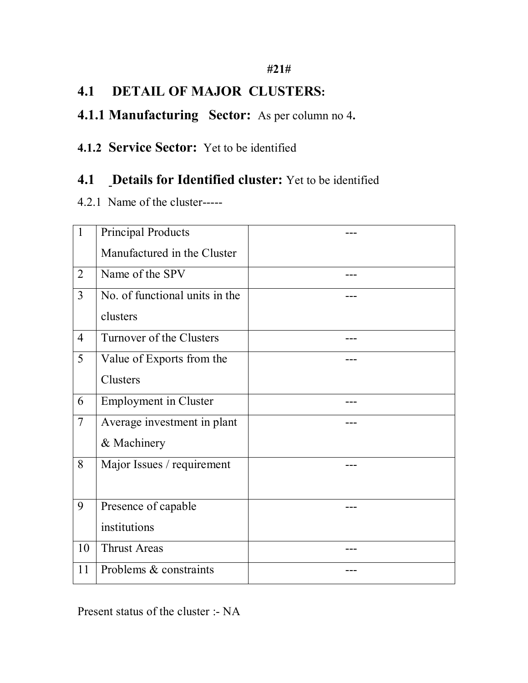#### **#21#**

## **4.1 DETAIL OF MAJOR CLUSTERS:**

### **4.1.1 Manufacturing Sector:** As per column no 4**.**

#### **4.1.2 Service Sector:** Yet to be identified

### **4.1 Details for Identified cluster:** Yet to be identified

4.2.1 Name of the cluster-----

| $\mathbf{1}$   | <b>Principal Products</b>      |  |
|----------------|--------------------------------|--|
|                | Manufactured in the Cluster    |  |
| $\overline{2}$ | Name of the SPV                |  |
| 3              | No. of functional units in the |  |
|                | clusters                       |  |
| $\overline{4}$ | Turnover of the Clusters       |  |
| 5              | Value of Exports from the      |  |
|                | Clusters                       |  |
| 6              | <b>Employment</b> in Cluster   |  |
| $\overline{7}$ | Average investment in plant    |  |
|                | & Machinery                    |  |
| 8              | Major Issues / requirement     |  |
|                |                                |  |
| 9              | Presence of capable            |  |
|                | institutions                   |  |
| 10             | <b>Thrust Areas</b>            |  |
| 11             | Problems & constraints         |  |

Present status of the cluster :- NA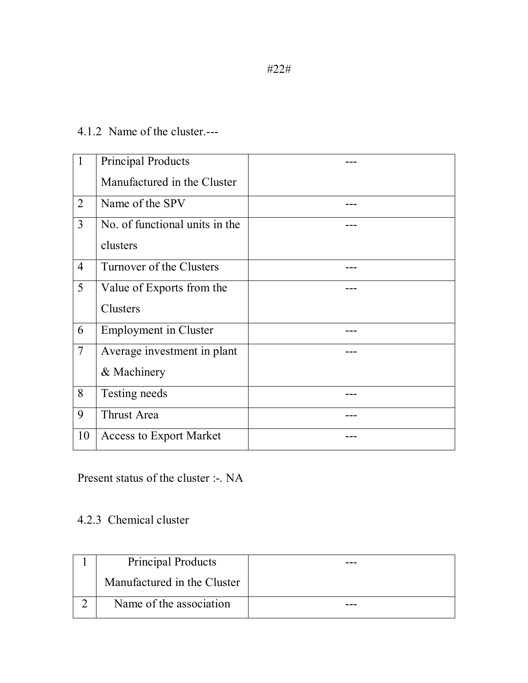#### 4.1.2 Name of the cluster.---

| $\mathbf{1}$   | <b>Principal Products</b>      |  |
|----------------|--------------------------------|--|
|                | Manufactured in the Cluster    |  |
| 2              | Name of the SPV                |  |
| $\overline{3}$ | No. of functional units in the |  |
|                | clusters                       |  |
| $\overline{4}$ | Turnover of the Clusters       |  |
| 5              | Value of Exports from the      |  |
|                | <b>Clusters</b>                |  |
| 6              | <b>Employment</b> in Cluster   |  |
| $\overline{7}$ | Average investment in plant    |  |
|                | & Machinery                    |  |
| 8              | Testing needs                  |  |
| 9              | <b>Thrust Area</b>             |  |
| 10             | <b>Access to Export Market</b> |  |

## Present status of the cluster :-. NA

#### 4.2.3 Chemical cluster

| Principal Products          |  |
|-----------------------------|--|
| Manufactured in the Cluster |  |
| Name of the association     |  |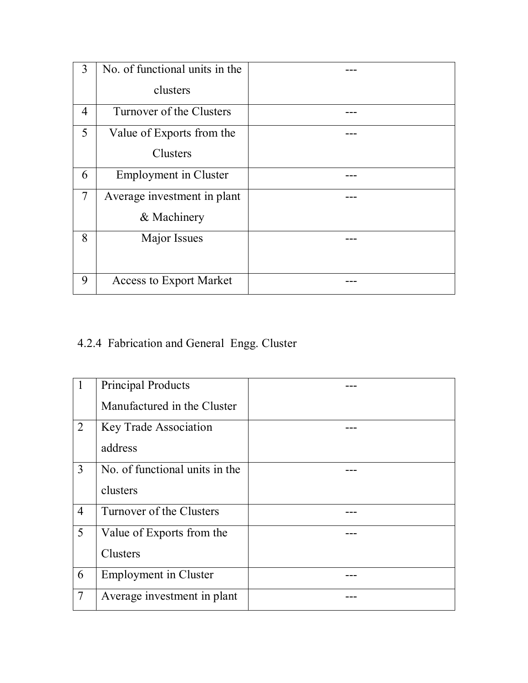| 3              | No. of functional units in the |  |
|----------------|--------------------------------|--|
|                | clusters                       |  |
| $\overline{4}$ | Turnover of the Clusters       |  |
| 5              | Value of Exports from the      |  |
|                | <b>Clusters</b>                |  |
| 6              | <b>Employment</b> in Cluster   |  |
| $\overline{7}$ | Average investment in plant    |  |
|                | & Machinery                    |  |
| 8              | Major Issues                   |  |
|                |                                |  |
| 9              | <b>Access to Export Market</b> |  |

# 4.2.4 Fabrication and General Engg. Cluster

|                | <b>Principal Products</b>      |  |
|----------------|--------------------------------|--|
|                | Manufactured in the Cluster    |  |
| $\overline{2}$ | <b>Key Trade Association</b>   |  |
|                | address                        |  |
| 3              | No. of functional units in the |  |
|                | clusters                       |  |
| $\overline{4}$ | Turnover of the Clusters       |  |
| 5              | Value of Exports from the      |  |
|                | <b>Clusters</b>                |  |
| 6              | <b>Employment</b> in Cluster   |  |
| $\overline{7}$ | Average investment in plant    |  |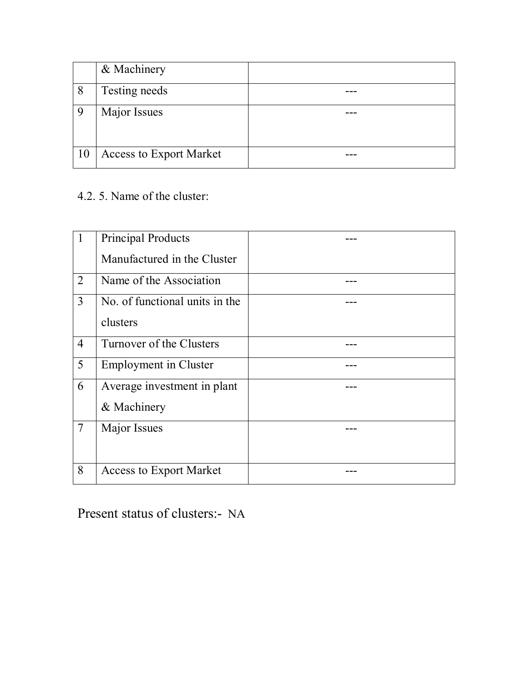|    | & Machinery                    |  |
|----|--------------------------------|--|
| 8  | Testing needs                  |  |
| Q  | Major Issues                   |  |
| 10 | <b>Access to Export Market</b> |  |

## 4.2. 5. Name of the cluster:

|                | <b>Principal Products</b>      |  |
|----------------|--------------------------------|--|
|                | Manufactured in the Cluster    |  |
| 2              | Name of the Association        |  |
| $\overline{3}$ | No. of functional units in the |  |
|                | clusters                       |  |
| $\overline{4}$ | Turnover of the Clusters       |  |
| 5              | <b>Employment</b> in Cluster   |  |
| 6              | Average investment in plant    |  |
|                | & Machinery                    |  |
| $\overline{7}$ | Major Issues                   |  |
|                |                                |  |
| 8              | <b>Access to Export Market</b> |  |

Present status of clusters:- NA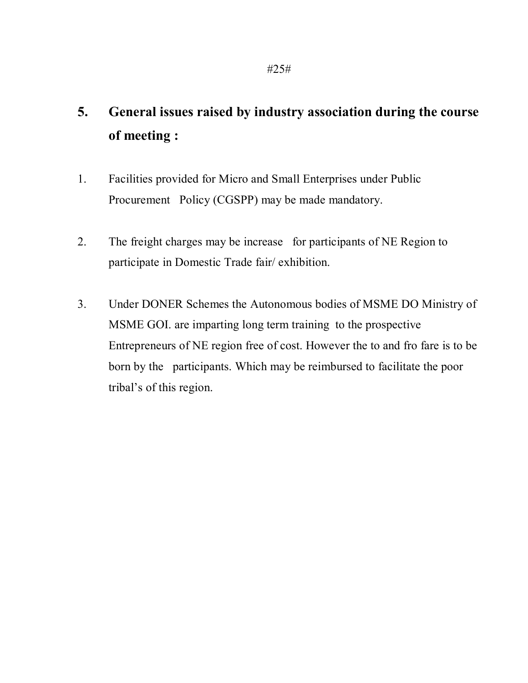# **5. General issues raised by industry association during the course of meeting :**

- 1. Facilities provided for Micro and Small Enterprises under Public Procurement Policy (CGSPP) may be made mandatory.
- 2. The freight charges may be increase for participants of NE Region to participate in Domestic Trade fair/ exhibition.
- 3. Under DONER Schemes the Autonomous bodies of MSME DO Ministry of MSME GOI. are imparting long term training to the prospective Entrepreneurs of NE region free of cost. However the to and fro fare is to be born by the participants. Which may be reimbursed to facilitate the poor tribal's of this region.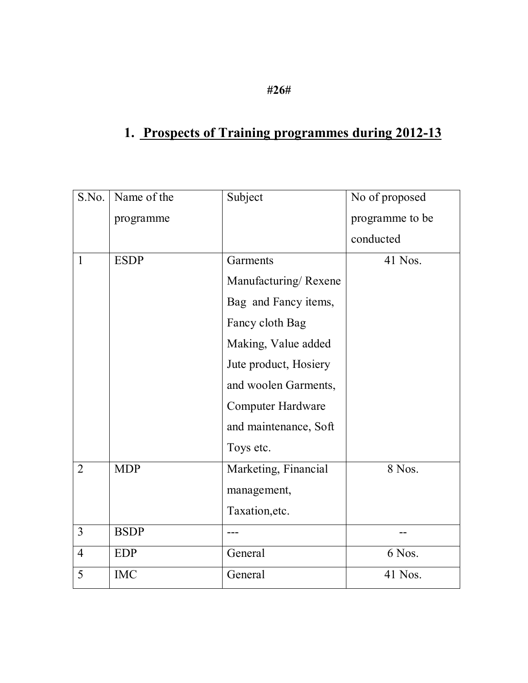# **1. Prospects of Training programmes during 2012-13**

| S.No.          | Name of the | Subject                  | No of proposed  |
|----------------|-------------|--------------------------|-----------------|
|                | programme   |                          | programme to be |
|                |             |                          | conducted       |
| $\mathbf{1}$   | <b>ESDP</b> | Garments                 | 41 Nos.         |
|                |             | Manufacturing/Rexene     |                 |
|                |             | Bag and Fancy items,     |                 |
|                |             | Fancy cloth Bag          |                 |
|                |             | Making, Value added      |                 |
|                |             | Jute product, Hosiery    |                 |
|                |             | and woolen Garments,     |                 |
|                |             | <b>Computer Hardware</b> |                 |
|                |             | and maintenance, Soft    |                 |
|                |             | Toys etc.                |                 |
| $\overline{2}$ | <b>MDP</b>  | Marketing, Financial     | 8 Nos.          |
|                |             | management,              |                 |
|                |             | Taxation, etc.           |                 |
| $\overline{3}$ | <b>BSDP</b> |                          |                 |
| $\overline{4}$ | <b>EDP</b>  | General                  | 6 Nos.          |
| 5              | <b>IMC</b>  | General                  | 41 Nos.         |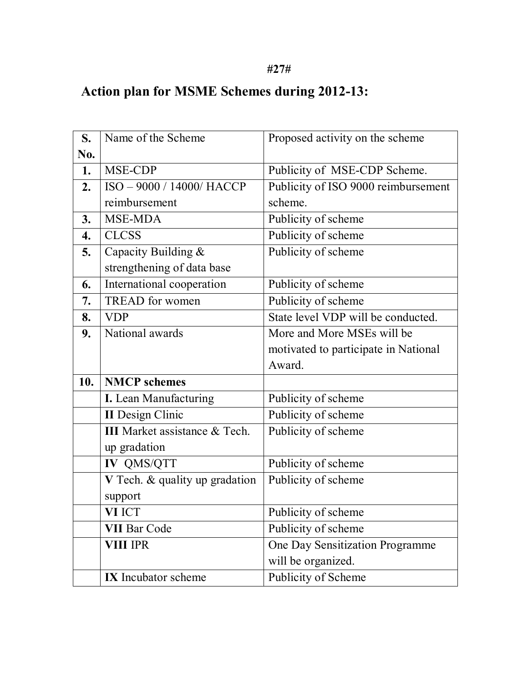### **#27#**

# **Action plan for MSME Schemes during 2012-13:**

| S.  | Name of the Scheme                   | Proposed activity on the scheme      |
|-----|--------------------------------------|--------------------------------------|
| No. |                                      |                                      |
| 1.  | MSE-CDP                              | Publicity of MSE-CDP Scheme.         |
| 2.  | ISO - 9000 / 14000/ HACCP            | Publicity of ISO 9000 reimbursement  |
|     | reimbursement                        | scheme.                              |
| 3.  | MSE-MDA                              | Publicity of scheme                  |
| 4.  | <b>CLCSS</b>                         | Publicity of scheme                  |
| 5.  | Capacity Building &                  | Publicity of scheme                  |
|     | strengthening of data base           |                                      |
| 6.  | International cooperation            | Publicity of scheme                  |
| 7.  | <b>TREAD</b> for women               | Publicity of scheme                  |
| 8.  | <b>VDP</b>                           | State level VDP will be conducted.   |
| 9.  | National awards                      | More and More MSEs will be           |
|     |                                      | motivated to participate in National |
|     |                                      | Award.                               |
| 10. | <b>NMCP</b> schemes                  |                                      |
|     | I. Lean Manufacturing                | Publicity of scheme                  |
|     | <b>II</b> Design Clinic              | Publicity of scheme                  |
|     | <b>III</b> Market assistance & Tech. | Publicity of scheme                  |
|     |                                      |                                      |
|     | up gradation                         |                                      |
|     | IV QMS/QTT                           | Publicity of scheme                  |
|     | V Tech. & quality up gradation       | Publicity of scheme                  |
|     | support                              |                                      |
|     | VI ICT                               | Publicity of scheme                  |
|     | <b>VII Bar Code</b>                  | Publicity of scheme                  |
|     | <b>VIII IPR</b>                      | One Day Sensitization Programme      |
|     |                                      | will be organized.                   |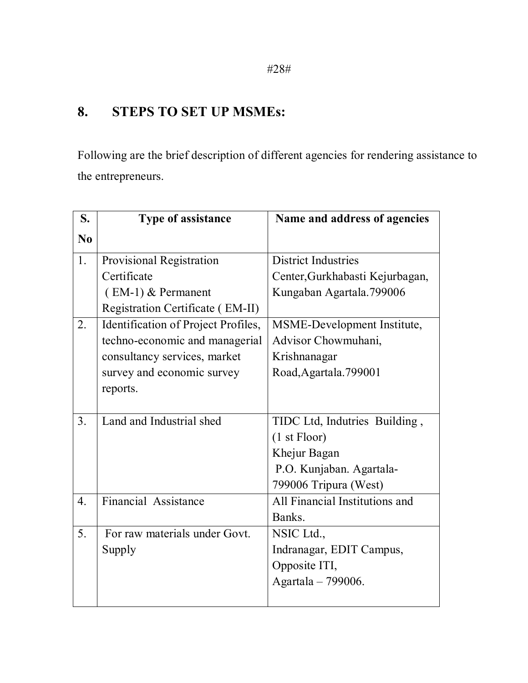## **8. STEPS TO SET UP MSMEs:**

Following are the brief description of different agencies for rendering assistance to the entrepreneurs.

| S.               | <b>Type of assistance</b>           | Name and address of agencies    |
|------------------|-------------------------------------|---------------------------------|
| No               |                                     |                                 |
| 1.               | <b>Provisional Registration</b>     | <b>District Industries</b>      |
|                  | Certificate                         | Center, Gurkhabasti Kejurbagan, |
|                  | $(EM-1)$ & Permanent                | Kungaban Agartala.799006        |
|                  | Registration Certificate (EM-II)    |                                 |
| 2.               | Identification of Project Profiles, | MSME-Development Institute,     |
|                  | techno-economic and managerial      | Advisor Chowmuhani,             |
|                  | consultancy services, market        | Krishnanagar                    |
|                  | survey and economic survey          | Road, Agartala. 799001          |
|                  | reports.                            |                                 |
|                  |                                     |                                 |
| 3 <sub>1</sub>   | Land and Industrial shed            | TIDC Ltd, Indutries Building,   |
|                  |                                     | (1 <sub>st</sub> Floor)         |
|                  |                                     | Khejur Bagan                    |
|                  |                                     | P.O. Kunjaban. Agartala-        |
|                  |                                     | 799006 Tripura (West)           |
| $\overline{4}$ . | Financial Assistance                | All Financial Institutions and  |
|                  |                                     | Banks.                          |
| 5.               | For raw materials under Govt.       | NSIC Ltd.,                      |
|                  | Supply                              | Indranagar, EDIT Campus,        |
|                  |                                     | Opposite ITI,                   |
|                  |                                     | Agartala - 799006.              |
|                  |                                     |                                 |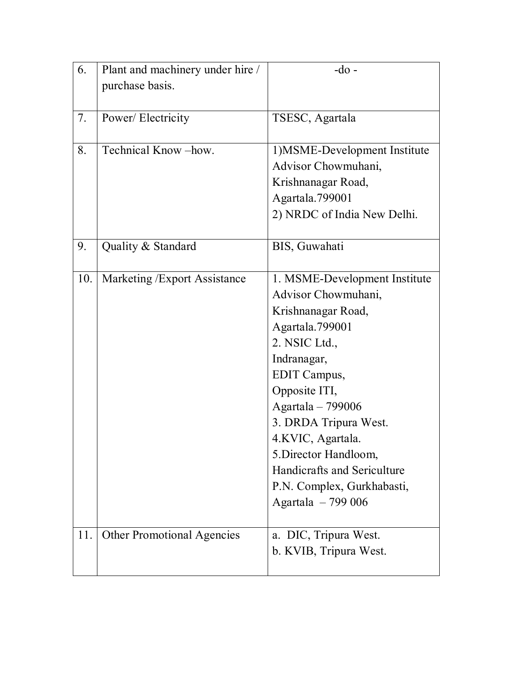| 6.  | Plant and machinery under hire /  | $-do$ -                       |
|-----|-----------------------------------|-------------------------------|
|     | purchase basis.                   |                               |
|     |                                   |                               |
| 7.  | Power/Electricity                 | TSESC, Agartala               |
|     |                                   |                               |
| 8.  | Technical Know-how.               | 1) MSME-Development Institute |
|     |                                   | Advisor Chowmuhani,           |
|     |                                   | Krishnanagar Road,            |
|     |                                   | Agartala.799001               |
|     |                                   | 2) NRDC of India New Delhi.   |
|     |                                   |                               |
| 9.  | Quality & Standard                | BIS, Guwahati                 |
|     |                                   |                               |
| 10. | Marketing / Export Assistance     | 1. MSME-Development Institute |
|     |                                   | Advisor Chowmuhani,           |
|     |                                   | Krishnanagar Road,            |
|     |                                   | Agartala.799001               |
|     |                                   | 2. NSIC Ltd.,                 |
|     |                                   | Indranagar,                   |
|     |                                   | EDIT Campus,                  |
|     |                                   | Opposite ITI,                 |
|     |                                   | Agartala - 799006             |
|     |                                   | 3. DRDA Tripura West.         |
|     |                                   | 4.KVIC, Agartala.             |
|     |                                   | 5. Director Handloom,         |
|     |                                   | Handicrafts and Sericulture   |
|     |                                   | P.N. Complex, Gurkhabasti,    |
|     |                                   | Agartala - 799 006            |
| 11. | <b>Other Promotional Agencies</b> | a. DIC, Tripura West.         |
|     |                                   | b. KVIB, Tripura West.        |
|     |                                   |                               |